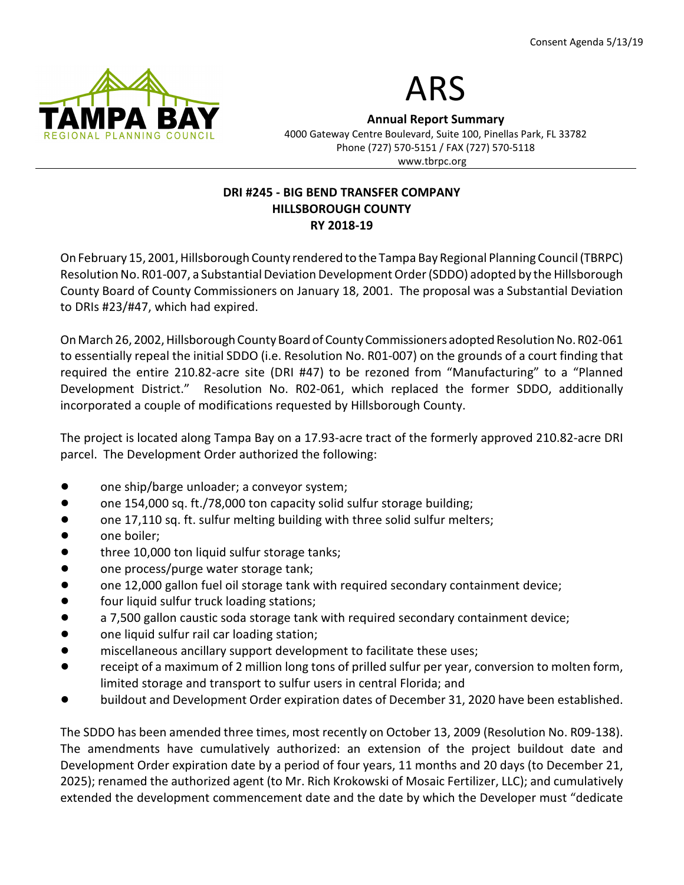



Annual Report Summary 4000 Gateway Centre Boulevard, Suite 100, Pinellas Park, FL 33782 Phone (727) 570-5151 / FAX (727) 570-5118 www.tbrpc.org

## DRI #245 - BIG BEND TRANSFER COMPANY HILLSBOROUGH COUNTY RY 2018-19

On February 15, 2001, Hillsborough County rendered to the Tampa Bay Regional Planning Council (TBRPC) Resolution No. R01-007, a Substantial Deviation Development Order (SDDO) adopted by the Hillsborough County Board of County Commissioners on January 18, 2001. The proposal was a Substantial Deviation to DRIs #23/#47, which had expired.

On March 26, 2002, Hillsborough County Board of County Commissioners adopted Resolution No. R02-061 to essentially repeal the initial SDDO (i.e. Resolution No. R01-007) on the grounds of a court finding that required the entire 210.82-acre site (DRI #47) to be rezoned from "Manufacturing" to a "Planned Development District." Resolution No. R02-061, which replaced the former SDDO, additionally incorporated a couple of modifications requested by Hillsborough County.

The project is located along Tampa Bay on a 17.93-acre tract of the formerly approved 210.82-acre DRI parcel. The Development Order authorized the following:

- one ship/barge unloader; a conveyor system;
- one 154,000 sq. ft./78,000 ton capacity solid sulfur storage building;
- one 17,110 sq. ft. sulfur melting building with three solid sulfur melters;
- one boiler:
- three 10,000 ton liquid sulfur storage tanks;
- one process/purge water storage tank;
- one 12,000 gallon fuel oil storage tank with required secondary containment device;
- four liquid sulfur truck loading stations;
- a 7,500 gallon caustic soda storage tank with required secondary containment device;
- one liquid sulfur rail car loading station;
- **Indigate 1** miscellaneous ancillary support development to facilitate these uses;
- receipt of a maximum of 2 million long tons of prilled sulfur per year, conversion to molten form, limited storage and transport to sulfur users in central Florida; and
- buildout and Development Order expiration dates of December 31, 2020 have been established.

The SDDO has been amended three times, most recently on October 13, 2009 (Resolution No. R09-138). The amendments have cumulatively authorized: an extension of the project buildout date and Development Order expiration date by a period of four years, 11 months and 20 days (to December 21, 2025); renamed the authorized agent (to Mr. Rich Krokowski of Mosaic Fertilizer, LLC); and cumulatively extended the development commencement date and the date by which the Developer must "dedicate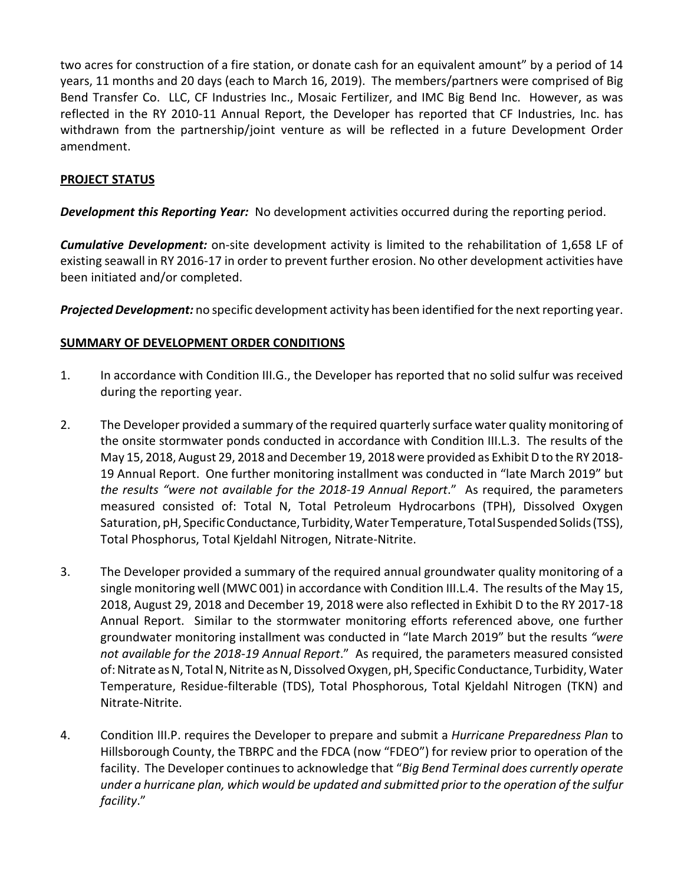two acres for construction of a fire station, or donate cash for an equivalent amount" by a period of 14 years, 11 months and 20 days (each to March 16, 2019). The members/partners were comprised of Big Bend Transfer Co. LLC, CF Industries Inc., Mosaic Fertilizer, and IMC Big Bend Inc. However, as was reflected in the RY 2010-11 Annual Report, the Developer has reported that CF Industries, Inc. has withdrawn from the partnership/joint venture as will be reflected in a future Development Order amendment.

# PROJECT STATUS

**Development this Reporting Year:** No development activities occurred during the reporting period.

**Cumulative Development:** on-site development activity is limited to the rehabilitation of 1,658 LF of existing seawall in RY 2016-17 in order to prevent further erosion. No other development activities have been initiated and/or completed.

Projected Development: no specific development activity has been identified for the next reporting year.

# SUMMARY OF DEVELOPMENT ORDER CONDITIONS

- 1. In accordance with Condition III.G., the Developer has reported that no solid sulfur was received during the reporting year.
- 2. The Developer provided a summary of the required quarterly surface water quality monitoring of the onsite stormwater ponds conducted in accordance with Condition III.L.3. The results of the May 15, 2018, August 29, 2018 and December 19, 2018 were provided as Exhibit D to the RY 2018- 19 Annual Report. One further monitoring installment was conducted in "late March 2019" but the results "were not available for the 2018-19 Annual Report." As required, the parameters measured consisted of: Total N, Total Petroleum Hydrocarbons (TPH), Dissolved Oxygen Saturation, pH, Specific Conductance, Turbidity, Water Temperature, Total Suspended Solids (TSS), Total Phosphorus, Total Kjeldahl Nitrogen, Nitrate-Nitrite.
- 3. The Developer provided a summary of the required annual groundwater quality monitoring of a single monitoring well (MWC 001) in accordance with Condition III.L.4. The results of the May 15, 2018, August 29, 2018 and December 19, 2018 were also reflected in Exhibit D to the RY 2017-18 Annual Report. Similar to the stormwater monitoring efforts referenced above, one further groundwater monitoring installment was conducted in "late March 2019" but the results "were not available for the 2018-19 Annual Report." As required, the parameters measured consisted of: Nitrate as N, Total N, Nitrite as N, Dissolved Oxygen, pH, Specific Conductance, Turbidity, Water Temperature, Residue-filterable (TDS), Total Phosphorous, Total Kjeldahl Nitrogen (TKN) and Nitrate-Nitrite.
- 4. Condition III.P. requires the Developer to prepare and submit a *Hurricane Preparedness Plan* to Hillsborough County, the TBRPC and the FDCA (now "FDEO") for review prior to operation of the facility. The Developer continues to acknowledge that "Big Bend Terminal does currently operate under a hurricane plan, which would be updated and submitted prior to the operation of the sulfur facility."